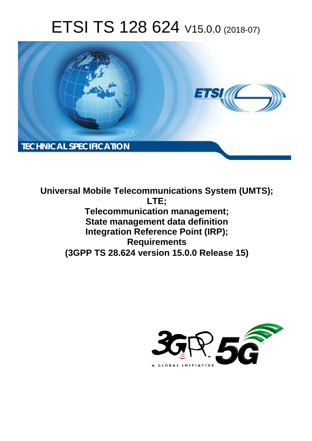# ETSI TS 128 624 V15.0.0 (2018-07)



**Universal Mobile Telecommunications System (UMTS); LTE; Telecommunication management; State management data definition Integration Reference Point (IRP); Requirements (3GPP TS 28.624 version 15.0.0 Release 15)** 

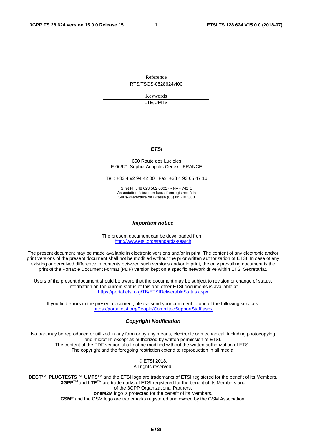Reference RTS/TSGS-0528624vf00

> Keywords LTE,UMTS

#### *ETSI*

#### 650 Route des Lucioles F-06921 Sophia Antipolis Cedex - FRANCE

Tel.: +33 4 92 94 42 00 Fax: +33 4 93 65 47 16

Siret N° 348 623 562 00017 - NAF 742 C Association à but non lucratif enregistrée à la Sous-Préfecture de Grasse (06) N° 7803/88

#### *Important notice*

The present document can be downloaded from: <http://www.etsi.org/standards-search>

The present document may be made available in electronic versions and/or in print. The content of any electronic and/or print versions of the present document shall not be modified without the prior written authorization of ETSI. In case of any existing or perceived difference in contents between such versions and/or in print, the only prevailing document is the print of the Portable Document Format (PDF) version kept on a specific network drive within ETSI Secretariat.

Users of the present document should be aware that the document may be subject to revision or change of status. Information on the current status of this and other ETSI documents is available at <https://portal.etsi.org/TB/ETSIDeliverableStatus.aspx>

If you find errors in the present document, please send your comment to one of the following services: <https://portal.etsi.org/People/CommiteeSupportStaff.aspx>

#### *Copyright Notification*

No part may be reproduced or utilized in any form or by any means, electronic or mechanical, including photocopying and microfilm except as authorized by written permission of ETSI. The content of the PDF version shall not be modified without the written authorization of ETSI. The copyright and the foregoing restriction extend to reproduction in all media.

> © ETSI 2018. All rights reserved.

**DECT**TM, **PLUGTESTS**TM, **UMTS**TM and the ETSI logo are trademarks of ETSI registered for the benefit of its Members. **3GPP**TM and **LTE**TM are trademarks of ETSI registered for the benefit of its Members and of the 3GPP Organizational Partners. **oneM2M** logo is protected for the benefit of its Members.

**GSM**® and the GSM logo are trademarks registered and owned by the GSM Association.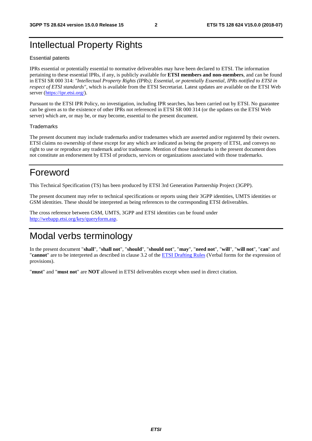# Intellectual Property Rights

#### Essential patents

IPRs essential or potentially essential to normative deliverables may have been declared to ETSI. The information pertaining to these essential IPRs, if any, is publicly available for **ETSI members and non-members**, and can be found in ETSI SR 000 314: *"Intellectual Property Rights (IPRs); Essential, or potentially Essential, IPRs notified to ETSI in respect of ETSI standards"*, which is available from the ETSI Secretariat. Latest updates are available on the ETSI Web server ([https://ipr.etsi.org/\)](https://ipr.etsi.org/).

Pursuant to the ETSI IPR Policy, no investigation, including IPR searches, has been carried out by ETSI. No guarantee can be given as to the existence of other IPRs not referenced in ETSI SR 000 314 (or the updates on the ETSI Web server) which are, or may be, or may become, essential to the present document.

#### **Trademarks**

The present document may include trademarks and/or tradenames which are asserted and/or registered by their owners. ETSI claims no ownership of these except for any which are indicated as being the property of ETSI, and conveys no right to use or reproduce any trademark and/or tradename. Mention of those trademarks in the present document does not constitute an endorsement by ETSI of products, services or organizations associated with those trademarks.

# Foreword

This Technical Specification (TS) has been produced by ETSI 3rd Generation Partnership Project (3GPP).

The present document may refer to technical specifications or reports using their 3GPP identities, UMTS identities or GSM identities. These should be interpreted as being references to the corresponding ETSI deliverables.

The cross reference between GSM, UMTS, 3GPP and ETSI identities can be found under [http://webapp.etsi.org/key/queryform.asp.](http://webapp.etsi.org/key/queryform.asp)

# Modal verbs terminology

In the present document "**shall**", "**shall not**", "**should**", "**should not**", "**may**", "**need not**", "**will**", "**will not**", "**can**" and "**cannot**" are to be interpreted as described in clause 3.2 of the [ETSI Drafting Rules](https://portal.etsi.org/Services/editHelp!/Howtostart/ETSIDraftingRules.aspx) (Verbal forms for the expression of provisions).

"**must**" and "**must not**" are **NOT** allowed in ETSI deliverables except when used in direct citation.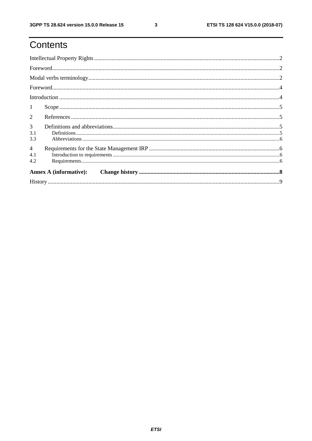# Contents

| $\mathbf{1}$                 |                                                                                                                                                                                                                                                                                                                                                                                                                                                                                                        |  |  |  |  |
|------------------------------|--------------------------------------------------------------------------------------------------------------------------------------------------------------------------------------------------------------------------------------------------------------------------------------------------------------------------------------------------------------------------------------------------------------------------------------------------------------------------------------------------------|--|--|--|--|
| $\overline{2}$               |                                                                                                                                                                                                                                                                                                                                                                                                                                                                                                        |  |  |  |  |
| 3<br>3.1<br>3.3              | $\textbf{Definitions} \textcolor{red}{\textbf{15}} \textcolor{red}{\textbf{.16}} \textcolor{red}{\textbf{.17}} \textcolor{red}{\textbf{.17}} \textcolor{red}{\textbf{.17}} \textcolor{red}{\textbf{.17}} \textcolor{red}{\textbf{.17}} \textcolor{red}{\textbf{.17}} \textcolor{red}{\textbf{.17}} \textcolor{red}{\textbf{.17}} \textcolor{red}{\textbf{.17}} \textcolor{red}{\textbf{.17}} \textcolor{red}{\textbf{.17}} \textcolor{red}{\textbf{.17}} \textcolor{red}{\textbf{.17}} \textcolor{red$ |  |  |  |  |
| $\overline{4}$<br>4.1<br>4.2 |                                                                                                                                                                                                                                                                                                                                                                                                                                                                                                        |  |  |  |  |
|                              | <b>Annex A (informative):</b>                                                                                                                                                                                                                                                                                                                                                                                                                                                                          |  |  |  |  |
|                              |                                                                                                                                                                                                                                                                                                                                                                                                                                                                                                        |  |  |  |  |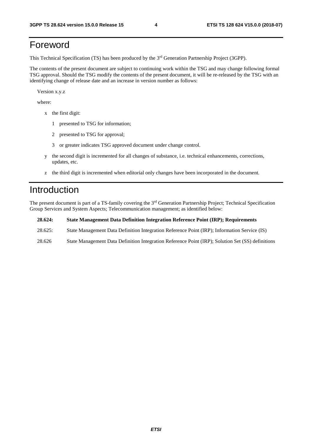# Foreword

This Technical Specification (TS) has been produced by the 3rd Generation Partnership Project (3GPP).

The contents of the present document are subject to continuing work within the TSG and may change following formal TSG approval. Should the TSG modify the contents of the present document, it will be re-released by the TSG with an identifying change of release date and an increase in version number as follows:

Version x.y.z

where:

- x the first digit:
	- 1 presented to TSG for information;
	- 2 presented to TSG for approval;
	- 3 or greater indicates TSG approved document under change control.
- y the second digit is incremented for all changes of substance, i.e. technical enhancements, corrections, updates, etc.
- z the third digit is incremented when editorial only changes have been incorporated in the document.

### Introduction

The present document is part of a TS-family covering the 3rd Generation Partnership Project; Technical Specification Group Services and System Aspects; Telecommunication management; as identified below:

**28.624: State Management Data Definition Integration Reference Point (IRP); Requirements** 

- 28.625: State Management Data Definition Integration Reference Point (IRP); Information Service (IS)
- 28.626 State Management Data Definition Integration Reference Point (IRP); Solution Set (SS) definitions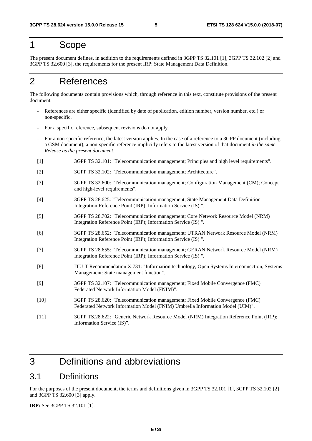### 1 Scope

The present document defines, in addition to the requirements defined in 3GPP TS 32.101 [1], 3GPP TS 32.102 [2] and 3GPP TS 32.600 [3], the requirements for the present IRP: State Management Data Definition.

# 2 References

The following documents contain provisions which, through reference in this text, constitute provisions of the present document.

- References are either specific (identified by date of publication, edition number, version number, etc.) or non-specific.
- For a specific reference, subsequent revisions do not apply.
- For a non-specific reference, the latest version applies. In the case of a reference to a 3GPP document (including a GSM document), a non-specific reference implicitly refers to the latest version of that document *in the same Release as the present document*.
- [1] 3GPP TS 32.101: "Telecommunication management; Principles and high level requirements".
- [2] 3GPP TS 32.102: "Telecommunication management; Architecture".
- [3] 3GPP TS 32.600: "Telecommunication management; Configuration Management (CM); Concept and high-level requirements".
- [4] 3GPP TS 28.625: "Telecommunication management; State Management Data Definition Integration Reference Point (IRP); Information Service (IS) ".
- [5] 3GPP TS 28.702: "Telecommunication management; Core Network Resource Model (NRM) Integration Reference Point (IRP); Information Service (IS) ".
- [6] 3GPP TS 28.652: "Telecommunication management; UTRAN Network Resource Model (NRM) Integration Reference Point (IRP); Information Service (IS) ".
- [7] 3GPP TS 28.655: "Telecommunication management; GERAN Network Resource Model (NRM) Integration Reference Point (IRP); Information Service (IS) ".
- [8] ITU-T Recommendation X.731: "Information technology, Open Systems Interconnection, Systems Management: State management function".
- [9] 3GPP TS 32.107: "Telecommunication management; Fixed Mobile Convergence (FMC) Federated Network Information Model (FNIM)".
- [10] 3GPP TS 28.620: "Telecommunication management; Fixed Mobile Convergence (FMC) Federated Network Information Model (FNIM) Umbrella Information Model (UIM)".
- [11] 3GPP TS.28.622: "Generic Network Resource Model (NRM) Integration Reference Point (IRP); Information Service (IS)".

# 3 Definitions and abbreviations

### 3.1 Definitions

For the purposes of the present document, the terms and definitions given in 3GPP TS 32.101 [1], 3GPP TS 32.102 [2] and 3GPP TS 32.600 [3] apply.

**IRP:** See 3GPP TS 32.101 [1].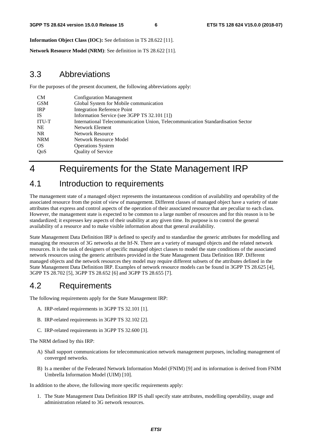**Information Object Class (IOC):** See definition in TS 28.622 [11].

**Network Resource Model (NRM)**: See definition in TS 28.622 [11].

### 3.3 Abbreviations

For the purposes of the present document, the following abbreviations apply:

| <b>CM</b>    | <b>Configuration Management</b>                                                 |
|--------------|---------------------------------------------------------------------------------|
| <b>GSM</b>   | Global System for Mobile communication                                          |
| <b>IRP</b>   | <b>Integration Reference Point</b>                                              |
| <b>IS</b>    | Information Service (see 3GPP TS 32.101 [1])                                    |
| <b>ITU-T</b> | International Telecommunication Union, Telecommunication Standardisation Sector |
| <b>NE</b>    | Network Element                                                                 |
| NR.          | <b>Network Resource</b>                                                         |
| <b>NRM</b>   | Network Resource Model                                                          |
| <b>OS</b>    | <b>Operations System</b>                                                        |
| QoS          | Quality of Service                                                              |
|              |                                                                                 |

# 4 Requirements for the State Management IRP

### 4.1 Introduction to requirements

The management state of a managed object represents the instantaneous condition of availability and operability of the associated resource from the point of view of management. Different classes of managed object have a variety of state attributes that express and control aspects of the operation of their associated resource that are peculiar to each class. However, the management state is expected to be common to a large number of resources and for this reason is to be standardized; it expresses key aspects of their usability at any given time. Its purpose is to control the general availability of a resource and to make visible information about that general availability.

State Management Data Definition IRP is defined to specify and to standardise the generic attributes for modelling and managing the resources of 3G networks at the Itf-N. There are a variety of managed objects and the related network resources. It is the task of designers of specific managed object classes to model the state conditions of the associated network resources using the generic attributes provided in the State Management Data Definition IRP. Different managed objects and the network resources they model may require different subsets of the attributes defined in the State Management Data Definition IRP. Examples of network resource models can be found in 3GPP TS 28.625 [4], 3GPP TS 28.702 [5], 3GPP TS 28.652 [6] and 3GPP TS 28.655 [7].

### 4.2 Requirements

The following requirements apply for the State Management IRP:

- A. IRP-related requirements in 3GPP TS 32.101 [1].
- B. IRP-related requirements in 3GPP TS 32.102 [2].
- C. IRP-related requirements in 3GPP TS 32.600 [3].

The NRM defined by this IRP:

- A) Shall support communications for telecommunication network management purposes, including management of converged networks.
- B) Is a member of the Federated Network Information Model (FNIM) [9] and its information is derived from FNIM Umbrella Information Model (UIM) [10].

In addition to the above, the following more specific requirements apply:

1. The State Management Data Definition IRP IS shall specify state attributes, modelling operability, usage and administration related to 3G network resources.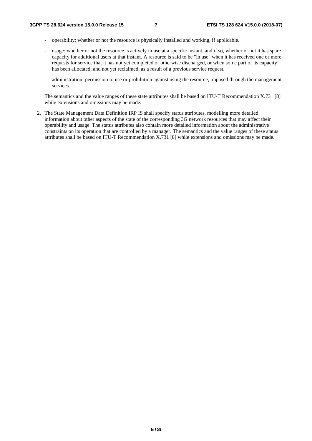- operability: whether or not the resource is physically installed and working, if applicable.
- usage: whether or not the resource is actively in use at a specific instant, and if so, whether or not it has spare capacity for additional users at that instant. A resource is said to be "in use" when it has received one or more requests for service that it has not yet completed or otherwise discharged, or when some part of its capacity has been allocated, and not yet reclaimed, as a result of a previous service request.
- administration: permission to use or prohibition against using the resource, imposed through the management services.

The semantics and the value ranges of these state attributes shall be based on ITU-T Recommendation X.731 [8] while extensions and omissions may be made.

2. The State Management Data Definition IRP IS shall specify status attributes, modelling more detailed information about other aspects of the state of the corresponding 3G network resources that may affect their operability and usage. The status attributes also contain more detailed information about the administrative constraints on its operation that are controlled by a manager. The semantics and the value ranges of these status attributes shall be based on ITU-T Recommendation X.731 [8] while extensions and omissions may be made.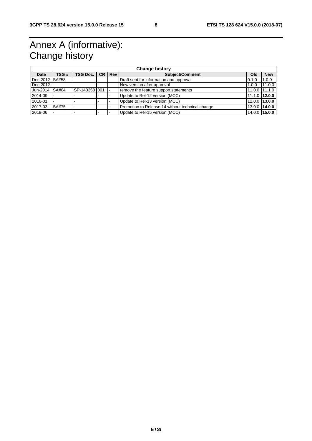# Annex A (informative): Change history

| <b>Change history</b> |       |                 |  |            |                                                  |       |                   |  |  |  |
|-----------------------|-------|-----------------|--|------------|--------------------------------------------------|-------|-------------------|--|--|--|
| Date                  | TSG # | <b>TSG Doc.</b> |  | $ CR $ Rev | <b>Subject/Comment</b>                           | Old   | <b>New</b>        |  |  |  |
| l Dec 2012   SA#58    |       |                 |  |            | Draft sent for information and approval          | 0.1.0 | 1.0.0             |  |  |  |
| Dec 2012              |       |                 |  |            | New version after approval                       | 1.0.0 | 11.0.0            |  |  |  |
| Jun-2014              | SA#64 | SP-140358 001   |  |            | remove the feature support statements            |       | $11.0.0$ 11.1.0   |  |  |  |
| 2014-09               |       |                 |  |            | Update to Rel-12 version (MCC)                   |       | 11.1.0 12.0.0     |  |  |  |
| 2016-01               |       |                 |  |            | Update to Rel-13 version (MCC)                   |       | 12.0.0 13.0.0     |  |  |  |
| 2017-03               | SA#75 |                 |  |            | Promotion to Release 14 without technical change |       | $13.0.0$   14.0.0 |  |  |  |
| 2018-06               |       |                 |  |            | Update to Rel-15 version (MCC)                   |       | 14.0.0 15.0.0     |  |  |  |